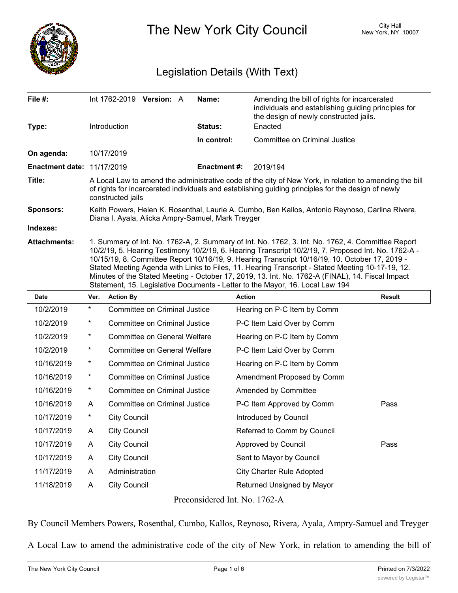

The New York City Council New York, NY 10007

## Legislation Details (With Text)

| File $#$ :<br>Type:               |                                                                                                                                                                                                                                                                                                                                                                                                                                                                                                                                                                                                     | Introduction                                                                                                                                                                                                                      | Int 1762-2019 Version: A             |  | Name:<br>Status: | Amending the bill of rights for incarcerated<br>individuals and establishing guiding principles for<br>the design of newly constructed jails.<br>Enacted |               |  |
|-----------------------------------|-----------------------------------------------------------------------------------------------------------------------------------------------------------------------------------------------------------------------------------------------------------------------------------------------------------------------------------------------------------------------------------------------------------------------------------------------------------------------------------------------------------------------------------------------------------------------------------------------------|-----------------------------------------------------------------------------------------------------------------------------------------------------------------------------------------------------------------------------------|--------------------------------------|--|------------------|----------------------------------------------------------------------------------------------------------------------------------------------------------|---------------|--|
|                                   |                                                                                                                                                                                                                                                                                                                                                                                                                                                                                                                                                                                                     |                                                                                                                                                                                                                                   |                                      |  | In control:      | Committee on Criminal Justice                                                                                                                            |               |  |
| On agenda:                        |                                                                                                                                                                                                                                                                                                                                                                                                                                                                                                                                                                                                     | 10/17/2019                                                                                                                                                                                                                        |                                      |  |                  |                                                                                                                                                          |               |  |
| <b>Enactment date: 11/17/2019</b> |                                                                                                                                                                                                                                                                                                                                                                                                                                                                                                                                                                                                     |                                                                                                                                                                                                                                   |                                      |  | Enactment #:     | 2019/194                                                                                                                                                 |               |  |
| Title:                            |                                                                                                                                                                                                                                                                                                                                                                                                                                                                                                                                                                                                     | A Local Law to amend the administrative code of the city of New York, in relation to amending the bill<br>of rights for incarcerated individuals and establishing guiding principles for the design of newly<br>constructed jails |                                      |  |                  |                                                                                                                                                          |               |  |
| <b>Sponsors:</b>                  | Keith Powers, Helen K. Rosenthal, Laurie A. Cumbo, Ben Kallos, Antonio Reynoso, Carlina Rivera,<br>Diana I. Ayala, Alicka Ampry-Samuel, Mark Treyger                                                                                                                                                                                                                                                                                                                                                                                                                                                |                                                                                                                                                                                                                                   |                                      |  |                  |                                                                                                                                                          |               |  |
| Indexes:                          |                                                                                                                                                                                                                                                                                                                                                                                                                                                                                                                                                                                                     |                                                                                                                                                                                                                                   |                                      |  |                  |                                                                                                                                                          |               |  |
| <b>Attachments:</b>               | 1. Summary of Int. No. 1762-A, 2. Summary of Int. No. 1762, 3. Int. No. 1762, 4. Committee Report<br>10/2/19, 5. Hearing Testimony 10/2/19, 6. Hearing Transcript 10/2/19, 7. Proposed Int. No. 1762-A -<br>10/15/19, 8. Committee Report 10/16/19, 9. Hearing Transcript 10/16/19, 10. October 17, 2019 -<br>Stated Meeting Agenda with Links to Files, 11. Hearing Transcript - Stated Meeting 10-17-19, 12.<br>Minutes of the Stated Meeting - October 17, 2019, 13. Int. No. 1762-A (FINAL), 14. Fiscal Impact<br>Statement, 15. Legislative Documents - Letter to the Mayor, 16. Local Law 194 |                                                                                                                                                                                                                                   |                                      |  |                  |                                                                                                                                                          |               |  |
| <b>Date</b>                       | Ver.                                                                                                                                                                                                                                                                                                                                                                                                                                                                                                                                                                                                | <b>Action By</b>                                                                                                                                                                                                                  |                                      |  |                  | <b>Action</b>                                                                                                                                            | <b>Result</b> |  |
| 10/2/2019                         | *                                                                                                                                                                                                                                                                                                                                                                                                                                                                                                                                                                                                   |                                                                                                                                                                                                                                   | <b>Committee on Criminal Justice</b> |  |                  | Hearing on P-C Item by Comm                                                                                                                              |               |  |
| 10/2/2019                         | *                                                                                                                                                                                                                                                                                                                                                                                                                                                                                                                                                                                                   |                                                                                                                                                                                                                                   | <b>Committee on Criminal Justice</b> |  |                  | P-C Item Laid Over by Comm                                                                                                                               |               |  |
| 10/2/2019                         | *                                                                                                                                                                                                                                                                                                                                                                                                                                                                                                                                                                                                   |                                                                                                                                                                                                                                   | <b>Committee on General Welfare</b>  |  |                  | Hearing on P-C Item by Comm                                                                                                                              |               |  |
| 10/2/2019                         | *                                                                                                                                                                                                                                                                                                                                                                                                                                                                                                                                                                                                   |                                                                                                                                                                                                                                   | <b>Committee on General Welfare</b>  |  |                  | P-C Item Laid Over by Comm                                                                                                                               |               |  |
| 10/16/2019                        | *                                                                                                                                                                                                                                                                                                                                                                                                                                                                                                                                                                                                   |                                                                                                                                                                                                                                   | Committee on Criminal Justice        |  |                  | Hearing on P-C Item by Comm                                                                                                                              |               |  |
| 10/16/2019                        | *                                                                                                                                                                                                                                                                                                                                                                                                                                                                                                                                                                                                   |                                                                                                                                                                                                                                   | Committee on Criminal Justice        |  |                  | Amendment Proposed by Comm                                                                                                                               |               |  |
| 10/16/2019                        | *                                                                                                                                                                                                                                                                                                                                                                                                                                                                                                                                                                                                   |                                                                                                                                                                                                                                   | Committee on Criminal Justice        |  |                  | Amended by Committee                                                                                                                                     |               |  |
|                                   |                                                                                                                                                                                                                                                                                                                                                                                                                                                                                                                                                                                                     |                                                                                                                                                                                                                                   |                                      |  |                  |                                                                                                                                                          |               |  |

| 10/16/2019 | $\overline{\phantom{a}}$ | Committee on Criminal Justice | Amended by Committee             |      |
|------------|--------------------------|-------------------------------|----------------------------------|------|
| 10/16/2019 | A                        | Committee on Criminal Justice | P-C Item Approved by Comm        | Pass |
| 10/17/2019 | *                        | City Council                  | Introduced by Council            |      |
| 10/17/2019 | A                        | <b>City Council</b>           | Referred to Comm by Council      |      |
| 10/17/2019 | A                        | <b>City Council</b>           | Approved by Council              | Pass |
| 10/17/2019 | A                        | City Council                  | Sent to Mayor by Council         |      |
| 11/17/2019 | A                        | Administration                | <b>City Charter Rule Adopted</b> |      |
| 11/18/2019 | A                        | City Council                  | Returned Unsigned by Mayor       |      |
|            |                          |                               |                                  |      |

Preconsidered Int. No. 1762-A

By Council Members Powers, Rosenthal, Cumbo, Kallos, Reynoso, Rivera, Ayala, Ampry-Samuel and Treyger

A Local Law to amend the administrative code of the city of New York, in relation to amending the bill of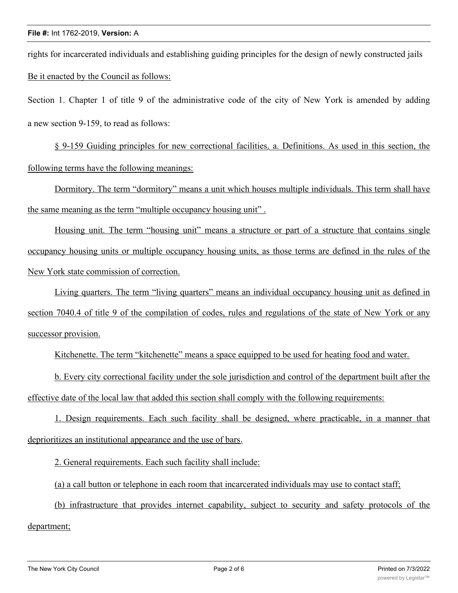rights for incarcerated individuals and establishing guiding principles for the design of newly constructed jails Be it enacted by the Council as follows:

Section 1. Chapter 1 of title 9 of the administrative code of the city of New York is amended by adding a new section 9-159, to read as follows:

§ 9-159 Guiding principles for new correctional facilities. a. Definitions. As used in this section, the following terms have the following meanings:

Dormitory. The term "dormitory" means a unit which houses multiple individuals. This term shall have the same meaning as the term "multiple occupancy housing unit" .

Housing unit. The term "housing unit" means a structure or part of a structure that contains single occupancy housing units or multiple occupancy housing units, as those terms are defined in the rules of the New York state commission of correction.

Living quarters. The term "living quarters" means an individual occupancy housing unit as defined in section 7040.4 of title 9 of the compilation of codes, rules and regulations of the state of New York or any successor provision.

Kitchenette. The term "kitchenette" means a space equipped to be used for heating food and water.

b. Every city correctional facility under the sole jurisdiction and control of the department built after the effective date of the local law that added this section shall comply with the following requirements:

1. Design requirements. Each such facility shall be designed, where practicable, in a manner that deprioritizes an institutional appearance and the use of bars.

2. General requirements. Each such facility shall include:

(a) a call button or telephone in each room that incarcerated individuals may use to contact staff;

(b) infrastructure that provides internet capability, subject to security and safety protocols of the

department;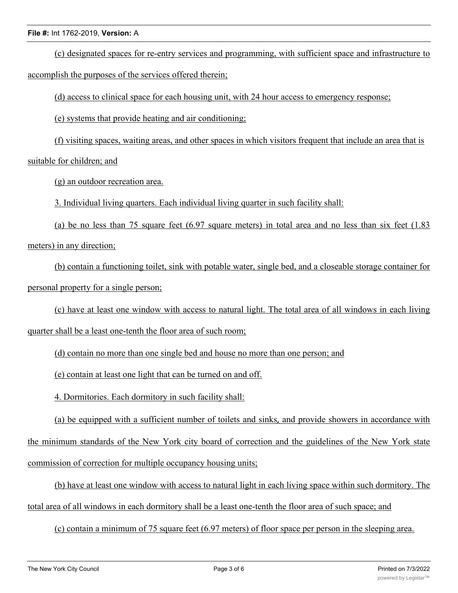## **File #:** Int 1762-2019, **Version:** A

(c) designated spaces for re-entry services and programming, with sufficient space and infrastructure to accomplish the purposes of the services offered therein;

(d) access to clinical space for each housing unit, with 24 hour access to emergency response;

(e) systems that provide heating and air conditioning;

(f) visiting spaces, waiting areas, and other spaces in which visitors frequent that include an area that is suitable for children; and

(g) an outdoor recreation area.

3. Individual living quarters. Each individual living quarter in such facility shall:

(a) be no less than 75 square feet (6.97 square meters) in total area and no less than six feet (1.83 meters) in any direction;

(b) contain a functioning toilet, sink with potable water, single bed, and a closeable storage container for personal property for a single person;

(c) have at least one window with access to natural light. The total area of all windows in each living quarter shall be a least one-tenth the floor area of such room;

(d) contain no more than one single bed and house no more than one person; and

(e) contain at least one light that can be turned on and off.

4. Dormitories. Each dormitory in such facility shall:

(a) be equipped with a sufficient number of toilets and sinks, and provide showers in accordance with the minimum standards of the New York city board of correction and the guidelines of the New York state commission of correction for multiple occupancy housing units;

(b) have at least one window with access to natural light in each living space within such dormitory. The total area of all windows in each dormitory shall be a least one-tenth the floor area of such space; and

(c) contain a minimum of 75 square feet (6.97 meters) of floor space per person in the sleeping area.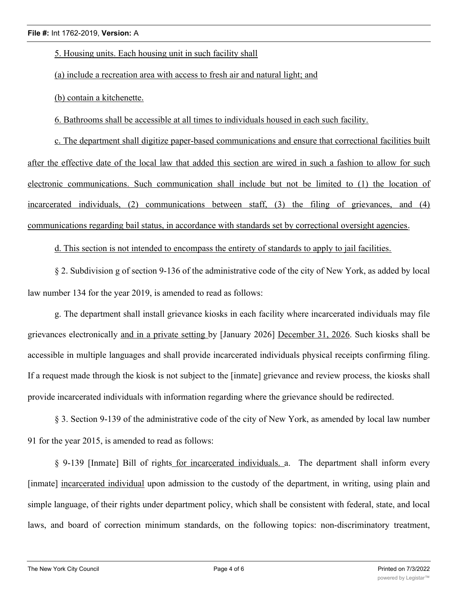5. Housing units. Each housing unit in such facility shall

(a) include a recreation area with access to fresh air and natural light; and

(b) contain a kitchenette.

6. Bathrooms shall be accessible at all times to individuals housed in each such facility.

c. The department shall digitize paper-based communications and ensure that correctional facilities built after the effective date of the local law that added this section are wired in such a fashion to allow for such electronic communications. Such communication shall include but not be limited to (1) the location of incarcerated individuals, (2) communications between staff, (3) the filing of grievances, and (4) communications regarding bail status, in accordance with standards set by correctional oversight agencies.

d. This section is not intended to encompass the entirety of standards to apply to jail facilities.

§ 2. Subdivision g of section 9-136 of the administrative code of the city of New York, as added by local law number 134 for the year 2019, is amended to read as follows:

g. The department shall install grievance kiosks in each facility where incarcerated individuals may file grievances electronically and in a private setting by [January 2026] December 31, 2026. Such kiosks shall be accessible in multiple languages and shall provide incarcerated individuals physical receipts confirming filing. If a request made through the kiosk is not subject to the [inmate] grievance and review process, the kiosks shall provide incarcerated individuals with information regarding where the grievance should be redirected.

§ 3. Section 9-139 of the administrative code of the city of New York, as amended by local law number 91 for the year 2015, is amended to read as follows:

§ 9-139 [Inmate] Bill of rights for incarcerated individuals. a. The department shall inform every [inmate] incarcerated individual upon admission to the custody of the department, in writing, using plain and simple language, of their rights under department policy, which shall be consistent with federal, state, and local laws, and board of correction minimum standards, on the following topics: non-discriminatory treatment,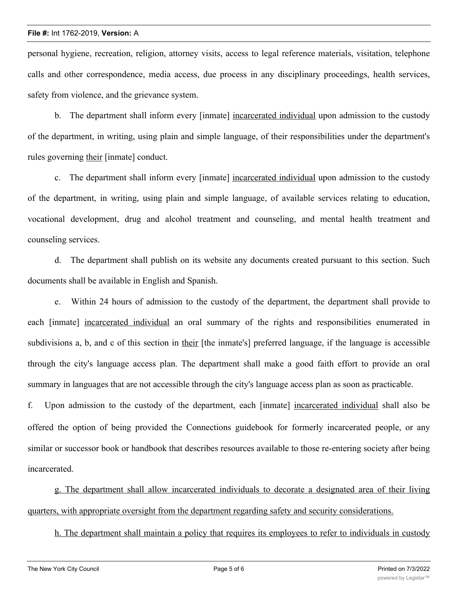## **File #:** Int 1762-2019, **Version:** A

personal hygiene, recreation, religion, attorney visits, access to legal reference materials, visitation, telephone calls and other correspondence, media access, due process in any disciplinary proceedings, health services, safety from violence, and the grievance system.

b. The department shall inform every [inmate] incarcerated individual upon admission to the custody of the department, in writing, using plain and simple language, of their responsibilities under the department's rules governing their [inmate] conduct.

c. The department shall inform every [inmate] incarcerated individual upon admission to the custody of the department, in writing, using plain and simple language, of available services relating to education, vocational development, drug and alcohol treatment and counseling, and mental health treatment and counseling services.

d. The department shall publish on its website any documents created pursuant to this section. Such documents shall be available in English and Spanish.

e. Within 24 hours of admission to the custody of the department, the department shall provide to each [inmate] incarcerated individual an oral summary of the rights and responsibilities enumerated in subdivisions a, b, and c of this section in their [the inmate's] preferred language, if the language is accessible through the city's language access plan. The department shall make a good faith effort to provide an oral summary in languages that are not accessible through the city's language access plan as soon as practicable.

f. Upon admission to the custody of the department, each [inmate] incarcerated individual shall also be offered the option of being provided the Connections guidebook for formerly incarcerated people, or any similar or successor book or handbook that describes resources available to those re-entering society after being incarcerated.

g. The department shall allow incarcerated individuals to decorate a designated area of their living quarters, with appropriate oversight from the department regarding safety and security considerations.

h. The department shall maintain a policy that requires its employees to refer to individuals in custody